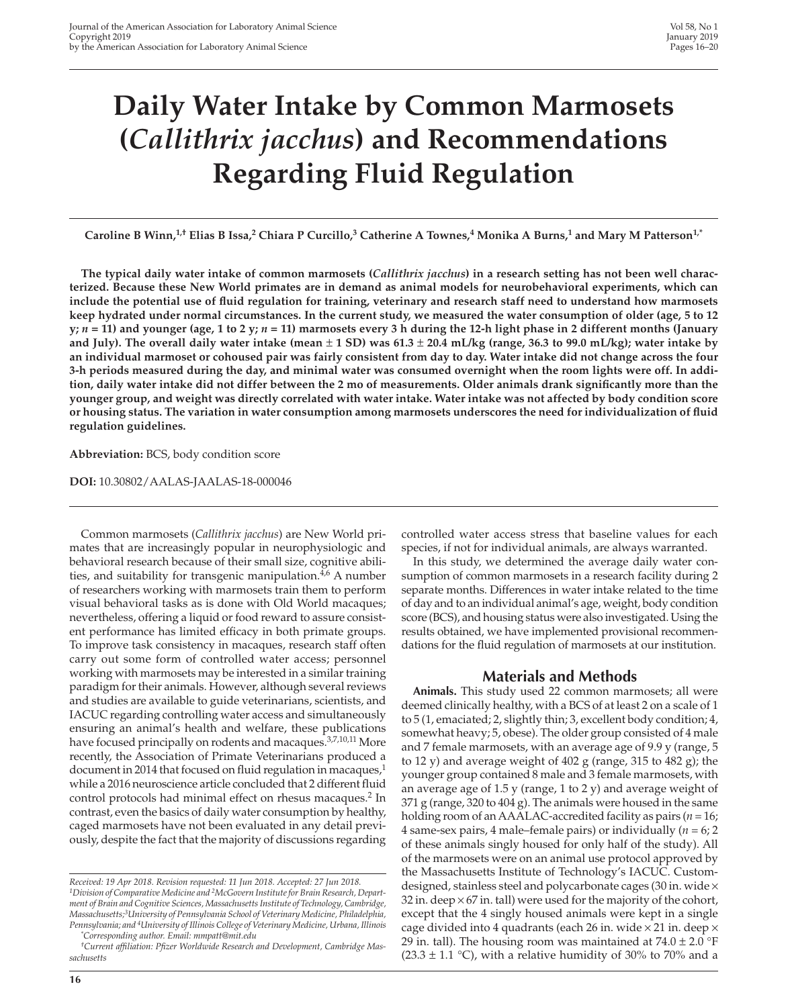# **Daily Water Intake by Common Marmosets (***Callithrix jacchus***) and Recommendations Regarding Fluid Regulation**

Caroline B Winn,<sup>1,†</sup> Elias B Issa,<sup>2</sup> Chiara P Curcillo,<sup>3</sup> Catherine A Townes,<sup>4</sup> Monika A Burns,<sup>1</sup> and Mary M Patterson<sup>1,\*</sup>

**The typical daily water intake of common marmosets (***Callithrix jacchus***) in a research setting has not been well characterized. Because these New World primates are in demand as animal models for neurobehavioral experiments, which can include the potential use of fluid regulation for training, veterinary and research staff need to understand how marmosets keep hydrated under normal circumstances. In the current study, we measured the water consumption of older (age, 5 to 12 y;** *n* **= 11) and younger (age, 1 to 2 y;** *n* **= 11) marmosets every 3 h during the 12-h light phase in 2 different months (January and July). The overall daily water intake (mean** ± **1 SD) was 61.3** ± **20.4 mL/kg (range, 36.3 to 99.0 mL/kg); water intake by an individual marmoset or cohoused pair was fairly consistent from day to day. Water intake did not change across the four 3-h periods measured during the day, and minimal water was consumed overnight when the room lights were off. In addition, daily water intake did not differ between the 2 mo of measurements. Older animals drank significantly more than the younger group, and weight was directly correlated with water intake. Water intake was not affected by body condition score or housing status. The variation in water consumption among marmosets underscores the need for individualization of fluid regulation guidelines.**

**Abbreviation:** BCS, body condition score

**DOI:** 10.30802/AALAS-JAALAS-18-000046

Common marmosets (*Callithrix jacchus*) are New World primates that are increasingly popular in neurophysiologic and behavioral research because of their small size, cognitive abilities, and suitability for transgenic manipulation.<sup>4,6</sup> A number of researchers working with marmosets train them to perform visual behavioral tasks as is done with Old World macaques; nevertheless, offering a liquid or food reward to assure consistent performance has limited efficacy in both primate groups. To improve task consistency in macaques, research staff often carry out some form of controlled water access; personnel working with marmosets may be interested in a similar training paradigm for their animals. However, although several reviews and studies are available to guide veterinarians, scientists, and IACUC regarding controlling water access and simultaneously ensuring an animal's health and welfare, these publications have focused principally on rodents and macaques.<sup>3,7,10,11</sup> More recently, the Association of Primate Veterinarians produced a document in 2014 that focused on fluid regulation in macaques, $1$ while a 2016 neuroscience article concluded that 2 different fluid control protocols had minimal effect on rhesus macaques.<sup>2</sup> In contrast, even the basics of daily water consumption by healthy, caged marmosets have not been evaluated in any detail previously, despite the fact that the majority of discussions regarding

controlled water access stress that baseline values for each species, if not for individual animals, are always warranted.

In this study, we determined the average daily water consumption of common marmosets in a research facility during 2 separate months. Differences in water intake related to the time of day and to an individual animal's age, weight, body condition score (BCS), and housing status were also investigated. Using the results obtained, we have implemented provisional recommendations for the fluid regulation of marmosets at our institution.

# **Materials and Methods**

**Animals.** This study used 22 common marmosets; all were deemed clinically healthy, with a BCS of at least 2 on a scale of 1 to 5 (1, emaciated; 2, slightly thin; 3, excellent body condition; 4, somewhat heavy; 5, obese). The older group consisted of 4 male and 7 female marmosets, with an average age of 9.9 y (range, 5 to 12 y) and average weight of 402 g (range, 315 to 482 g); the younger group contained 8 male and 3 female marmosets, with an average age of  $1.5$  y (range, 1 to 2 y) and average weight of 371 g (range, 320 to 404 g). The animals were housed in the same holding room of an AAALAC-accredited facility as pairs (*n* = 16; 4 same-sex pairs, 4 male–female pairs) or individually  $(n = 6; 2)$ of these animals singly housed for only half of the study). All of the marmosets were on an animal use protocol approved by the Massachusetts Institute of Technology's IACUC. Customdesigned, stainless steel and polycarbonate cages (30 in. wide × 32 in. deep  $\times$  67 in. tall) were used for the majority of the cohort, except that the 4 singly housed animals were kept in a single cage divided into 4 quadrants (each 26 in. wide  $\times$  21 in. deep  $\times$ 29 in. tall). The housing room was maintained at  $74.0 \pm 2.0$  °F (23.3  $\pm$  1.1 °C), with a relative humidity of 30% to 70% and a

*Received: 19 Apr 2018. Revision requested: 11 Jun 2018. Accepted: 27 Jun 2018. 1Division of Comparative Medicine and 2McGovern Institute for Brain Research, Department of Brain and Cognitive Sciences, Massachusetts Institute of Technology, Cambridge, Massachusetts;3University of Pennsylvania School of Veterinary Medicine, Philadelphia, Pennsylvania; and 4University of Illinois College of Veterinary Medicine, Urbana, Illinois \* Corresponding author. Email: mmpatt@mit.edu*

*<sup>†</sup>Current affiliation: Pfizer Worldwide Research and Development, Cambridge Massachusetts*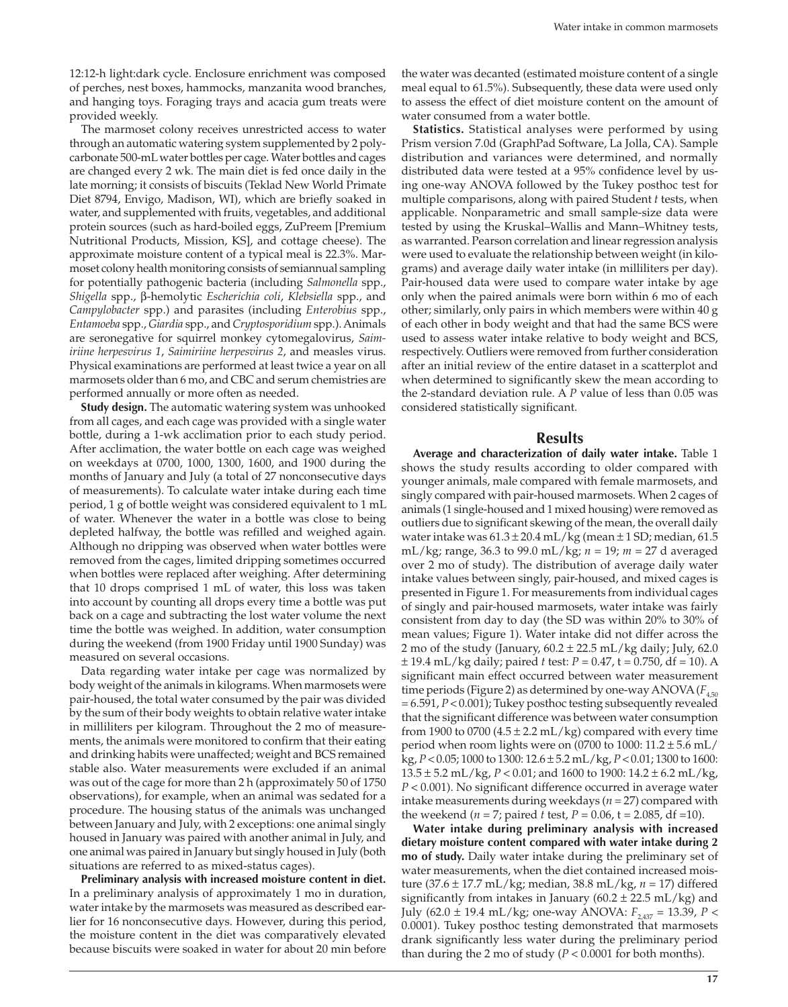12:12-h light:dark cycle. Enclosure enrichment was composed of perches, nest boxes, hammocks, manzanita wood branches, and hanging toys. Foraging trays and acacia gum treats were provided weekly.

The marmoset colony receives unrestricted access to water through an automatic watering system supplemented by 2 polycarbonate 500-mL water bottles per cage. Water bottles and cages are changed every 2 wk. The main diet is fed once daily in the late morning; it consists of biscuits (Teklad New World Primate Diet 8794, Envigo, Madison, WI), which are briefly soaked in water, and supplemented with fruits, vegetables, and additional protein sources (such as hard-boiled eggs, ZuPreem [Premium Nutritional Products, Mission, KS], and cottage cheese). The approximate moisture content of a typical meal is 22.3%. Marmoset colony health monitoring consists of semiannual sampling for potentially pathogenic bacteria (including *Salmonella* spp., *Shigella* spp., β-hemolytic *Escherichia coli*, *Klebsiella* spp., and *Campylobacter* spp.) and parasites (including *Enterobius* spp., *Entamoeba* spp., *Giardia* spp., and *Cryptosporidium* spp.). Animals are seronegative for squirrel monkey cytomegalovirus, *Saimiriine herpesvirus 1*, *Saimiriine herpesvirus 2*, and measles virus. Physical examinations are performed at least twice a year on all marmosets older than 6 mo, and CBC and serum chemistries are performed annually or more often as needed.

**Study design.** The automatic watering system was unhooked from all cages, and each cage was provided with a single water bottle, during a 1-wk acclimation prior to each study period. After acclimation, the water bottle on each cage was weighed on weekdays at 0700, 1000, 1300, 1600, and 1900 during the months of January and July (a total of 27 nonconsecutive days of measurements). To calculate water intake during each time period, 1 g of bottle weight was considered equivalent to 1 mL of water. Whenever the water in a bottle was close to being depleted halfway, the bottle was refilled and weighed again. Although no dripping was observed when water bottles were removed from the cages, limited dripping sometimes occurred when bottles were replaced after weighing. After determining that 10 drops comprised 1 mL of water, this loss was taken into account by counting all drops every time a bottle was put back on a cage and subtracting the lost water volume the next time the bottle was weighed. In addition, water consumption during the weekend (from 1900 Friday until 1900 Sunday) was measured on several occasions.

Data regarding water intake per cage was normalized by body weight of the animals in kilograms. When marmosets were pair-housed, the total water consumed by the pair was divided by the sum of their body weights to obtain relative water intake in milliliters per kilogram. Throughout the 2 mo of measurements, the animals were monitored to confirm that their eating and drinking habits were unaffected; weight and BCS remained stable also. Water measurements were excluded if an animal was out of the cage for more than 2 h (approximately 50 of 1750 observations), for example, when an animal was sedated for a procedure. The housing status of the animals was unchanged between January and July, with 2 exceptions: one animal singly housed in January was paired with another animal in July, and one animal was paired in January but singly housed in July (both situations are referred to as mixed-status cages).

**Preliminary analysis with increased moisture content in diet.** In a preliminary analysis of approximately 1 mo in duration, water intake by the marmosets was measured as described earlier for 16 nonconsecutive days. However, during this period, the moisture content in the diet was comparatively elevated because biscuits were soaked in water for about 20 min before

the water was decanted (estimated moisture content of a single meal equal to 61.5%). Subsequently, these data were used only to assess the effect of diet moisture content on the amount of water consumed from a water bottle.

**Statistics.** Statistical analyses were performed by using Prism version 7.0d (GraphPad Software, La Jolla, CA). Sample distribution and variances were determined, and normally distributed data were tested at a 95% confidence level by using one-way ANOVA followed by the Tukey posthoc test for multiple comparisons, along with paired Student *t* tests, when applicable. Nonparametric and small sample-size data were tested by using the Kruskal–Wallis and Mann–Whitney tests, as warranted. Pearson correlation and linear regression analysis were used to evaluate the relationship between weight (in kilograms) and average daily water intake (in milliliters per day). Pair-housed data were used to compare water intake by age only when the paired animals were born within 6 mo of each other; similarly, only pairs in which members were within 40 g of each other in body weight and that had the same BCS were used to assess water intake relative to body weight and BCS, respectively. Outliers were removed from further consideration after an initial review of the entire dataset in a scatterplot and when determined to significantly skew the mean according to the 2-standard deviation rule. A *P* value of less than 0.05 was considered statistically significant.

### **Results**

**Average and characterization of daily water intake.** Table 1 shows the study results according to older compared with younger animals, male compared with female marmosets, and singly compared with pair-housed marmosets. When 2 cages of animals (1 single-housed and 1 mixed housing) were removed as outliers due to significant skewing of the mean, the overall daily water intake was  $61.3 \pm 20.4$  mL/kg (mean  $\pm 1$  SD; median, 61.5 mL/kg; range, 36.3 to 99.0 mL/kg; *n* = 19; *m* = 27 d averaged over 2 mo of study). The distribution of average daily water intake values between singly, pair-housed, and mixed cages is presented in Figure 1. For measurements from individual cages of singly and pair-housed marmosets, water intake was fairly consistent from day to day (the SD was within 20% to 30% of mean values; Figure 1). Water intake did not differ across the 2 mo of the study (January,  $60.2 \pm 22.5$  mL/kg daily; July, 62.0 ± 19.4 mL/kg daily; paired *t* test: *P* = 0.47, t = 0.750, df = 10). A significant main effect occurred between water measurement time periods (Figure 2) as determined by one-way ANOVA ( $F_{4,50}$ ) = 6.591, *P* < 0.001); Tukey posthoc testing subsequently revealed that the significant difference was between water consumption from 1900 to 0700  $(4.5 \pm 2.2 \text{ mL/kg})$  compared with every time period when room lights were on (0700 to 1000:  $11.2 \pm 5.6$  mL/ kg, *P* < 0.05; 1000 to 1300: 12.6 ± 5.2 mL/kg, *P* < 0.01; 1300 to 1600: 13.5 ± 5.2 mL/kg, *P* < 0.01; and 1600 to 1900: 14.2 ± 6.2 mL/kg, *P* < 0.001). No significant difference occurred in average water intake measurements during weekdays (*n* = 27) compared with the weekend ( $n = 7$ ; paired  $t$  test,  $P = 0.06$ ,  $t = 2.085$ , df = 10).

**Water intake during preliminary analysis with increased dietary moisture content compared with water intake during 2 mo of study.** Daily water intake during the preliminary set of water measurements, when the diet contained increased moisture (37.6 ± 17.7 mL/kg; median, 38.8 mL/kg, *n* = 17) differed significantly from intakes in January (60.2  $\pm$  22.5 mL/kg) and July (62.0 ± 19.4 mL/kg; one-way ANOVA:  $F_{2,437} = 13.39$ ,  $P <$ 0.0001). Tukey posthoc testing demonstrated that marmosets drank significantly less water during the preliminary period than during the 2 mo of study (*P* < 0.0001 for both months).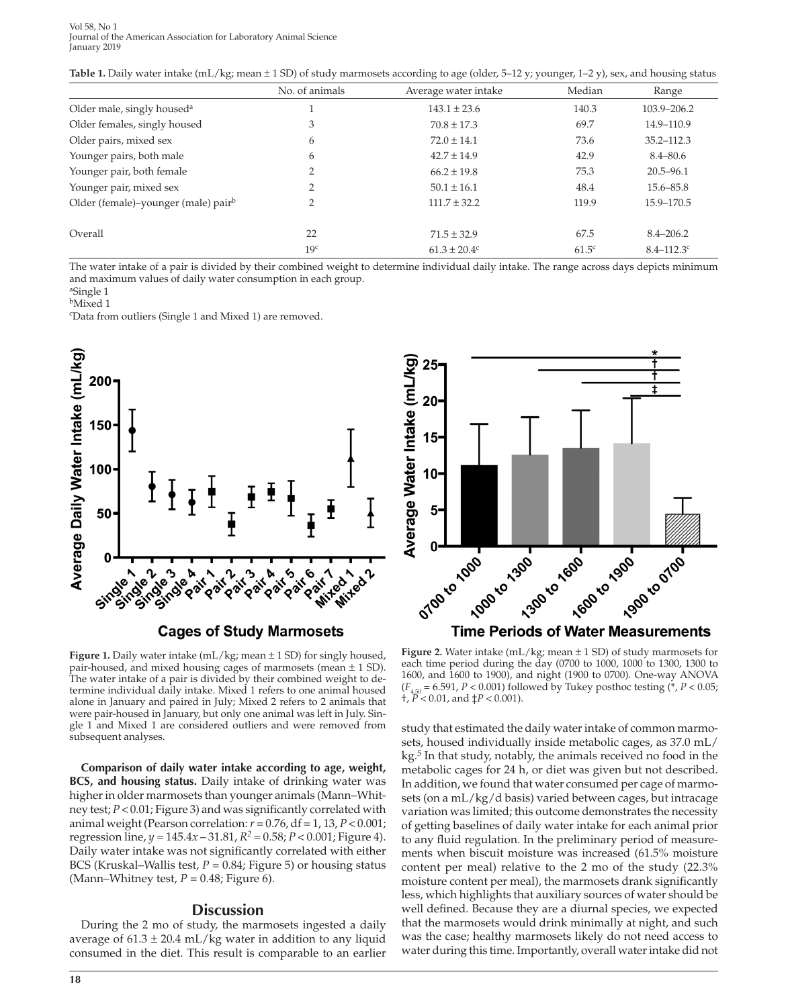#### Vol 58, No 1 Journal of the American Association for Laboratory Animal Science January 2019

|  |  |  |  |  |  | Table 1. Daily water intake (mL/kg; mean ± 1 SD) of study marmosets according to age (older, 5-12 y; younger, 1-2 y), sex, and housing status |
|--|--|--|--|--|--|-----------------------------------------------------------------------------------------------------------------------------------------------|
|--|--|--|--|--|--|-----------------------------------------------------------------------------------------------------------------------------------------------|

|                                                 | No. of animals  | Average water intake         | Median            | Range           |
|-------------------------------------------------|-----------------|------------------------------|-------------------|-----------------|
| Older male, singly housed <sup>a</sup>          |                 | $143.1 \pm 23.6$             | 140.3             | 103.9-206.2     |
| Older females, singly housed                    | 3               | $70.8 \pm 17.3$              | 69.7              | 14.9-110.9      |
| Older pairs, mixed sex                          | 6               | $72.0 \pm 14.1$              | 73.6              | $35.2 - 112.3$  |
| Younger pairs, both male                        | 6               | $42.7 \pm 14.9$              | 42.9              | $8.4 - 80.6$    |
| Younger pair, both female                       |                 | $66.2 \pm 19.8$              | 75.3              | $20.5 - 96.1$   |
| Younger pair, mixed sex                         |                 | $50.1 \pm 16.1$              | 48.4              | $15.6 - 85.8$   |
| Older (female)–younger (male) pair <sup>b</sup> | 2               | $111.7 \pm 32.2$             | 119.9             | 15.9-170.5      |
| Overall                                         | 22              | $71.5 \pm 32.9$              | 67.5              | $8.4 - 206.2$   |
|                                                 | 19 <sup>c</sup> | $61.3 \pm 20.4$ <sup>c</sup> | 61.5 <sup>c</sup> | $8.4 - 112.3$ c |

The water intake of a pair is divided by their combined weight to determine individual daily intake. The range across days depicts minimum and maximum values of daily water consumption in each group.

aSingle 1

bMixed 1

c Data from outliers (Single 1 and Mixed 1) are removed.







**Figure 1.** Daily water intake (mL/kg; mean  $\pm$  1 SD) for singly housed, pair-housed, and mixed housing cages of marmosets (mean ± 1 SD). The water intake of a pair is divided by their combined weight to determine individual daily intake. Mixed 1 refers to one animal housed alone in January and paired in July; Mixed 2 refers to 2 animals that were pair-housed in January, but only one animal was left in July. Single 1 and Mixed 1 are considered outliers and were removed from subsequent analyses.

**Comparison of daily water intake according to age, weight, BCS, and housing status.** Daily intake of drinking water was higher in older marmosets than younger animals (Mann–Whitney test; *P* < 0.01; Figure 3) and was significantly correlated with animal weight (Pearson correlation: *r* = 0.76, df = 1, 13, *P* < 0.001; regression line,  $y = 145.4x - 31.81$ ,  $R^2 = 0.58$ ;  $P < 0.001$ ; Figure 4). Daily water intake was not significantly correlated with either BCS (Kruskal–Wallis test, *P* = 0.84; Figure 5) or housing status (Mann–Whitney test,  $P = 0.48$ ; Figure 6).

# **Discussion**

During the 2 mo of study, the marmosets ingested a daily average of  $61.3 \pm 20.4$  mL/kg water in addition to any liquid consumed in the diet. This result is comparable to an earlier

**Figure 2.** Water intake (mL/kg; mean  $\pm$  1 SD) of study marmosets for each time period during the day (0700 to 1000, 1000 to 1300, 1300 to 1600, and 1600 to 1900), and night (1900 to 0700). One-way ANOVA  $(F_{4,50} = 6.591, P < 0.001)$  followed by Tukey posthoc testing (\*,  $P < 0.05$ ;  $\hat{P}$   $\hat{P}$  < 0.01, and  $\hat{P}$  < 0.001).

study that estimated the daily water intake of common marmosets, housed individually inside metabolic cages, as 37.0 mL/ kg.<sup>5</sup> In that study, notably, the animals received no food in the metabolic cages for 24 h, or diet was given but not described. In addition, we found that water consumed per cage of marmosets (on a mL/kg/d basis) varied between cages, but intracage variation was limited; this outcome demonstrates the necessity of getting baselines of daily water intake for each animal prior to any fluid regulation. In the preliminary period of measurements when biscuit moisture was increased (61.5% moisture content per meal) relative to the 2 mo of the study (22.3% moisture content per meal), the marmosets drank significantly less, which highlights that auxiliary sources of water should be well defined. Because they are a diurnal species, we expected that the marmosets would drink minimally at night, and such was the case; healthy marmosets likely do not need access to water during this time. Importantly, overall water intake did not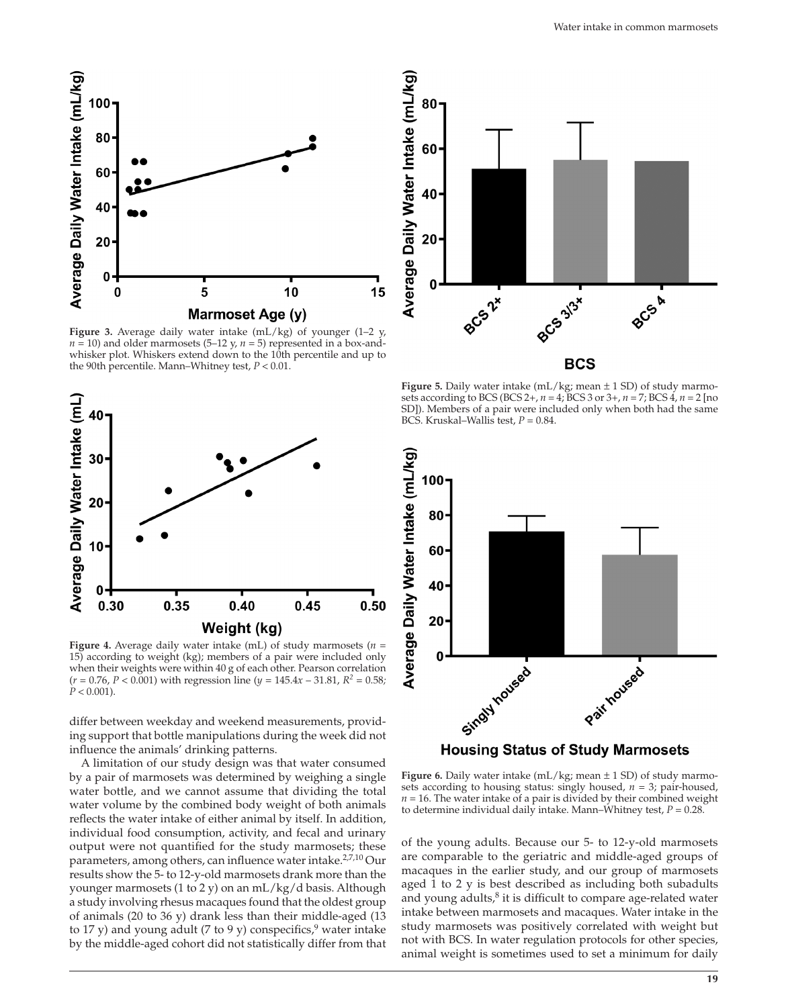

**Figure 3.** Average daily water intake (mL/kg) of younger (1–2 y,  $n = 10$ ) and older marmosets (5–12 y,  $n = 5$ ) represented in a box-andwhisker plot. Whiskers extend down to the 10th percentile and up to the 90th percentile. Mann–Whitney test, *P* < 0.01.



**Figure 4.** Average daily water intake (mL) of study marmosets (*n* = 15) according to weight (kg); members of a pair were included only when their weights were within 40 g of each other. Pearson correlation (*r =* 0.76, *P* < 0.001) with regression line (*y* = 145.4*x* – 31.81, *R2 =* 0.58*;*   $P < 0.001$ ).

differ between weekday and weekend measurements, providing support that bottle manipulations during the week did not influence the animals' drinking patterns.

A limitation of our study design was that water consumed by a pair of marmosets was determined by weighing a single water bottle, and we cannot assume that dividing the total water volume by the combined body weight of both animals reflects the water intake of either animal by itself. In addition, individual food consumption, activity, and fecal and urinary output were not quantified for the study marmosets; these parameters, among others, can influence water intake.<sup>2,7,10</sup> Our results show the 5- to 12-y-old marmosets drank more than the younger marmosets (1 to 2 y) on an mL/kg/d basis. Although a study involving rhesus macaques found that the oldest group of animals (20 to 36 y) drank less than their middle-aged (13 to 17 y) and young adult (7 to 9 y) conspecifics, water intake by the middle-aged cohort did not statistically differ from that



**Figure 5.** Daily water intake (mL/kg; mean ± 1 SD) of study marmosets according to BCS (BCS 2+, *n* = 4; BCS 3 or 3+, *n* = 7; BCS 4, *n* = 2 [no SD]). Members of a pair were included only when both had the same BCS. Kruskal–Wallis test, *P* = 0.84.



**Figure 6.** Daily water intake (mL/kg; mean  $\pm$  1 SD) of study marmosets according to housing status: singly housed, *n* = 3; pair-housed,  $n = 16$ . The water intake of a pair is divided by their combined weight

to determine individual daily intake. Mann–Whitney test, *P =* 0.28.

of the young adults. Because our 5- to 12-y-old marmosets are comparable to the geriatric and middle-aged groups of macaques in the earlier study, and our group of marmosets aged 1 to 2 y is best described as including both subadults and young adults, $8$  it is difficult to compare age-related water intake between marmosets and macaques. Water intake in the study marmosets was positively correlated with weight but not with BCS. In water regulation protocols for other species, animal weight is sometimes used to set a minimum for daily